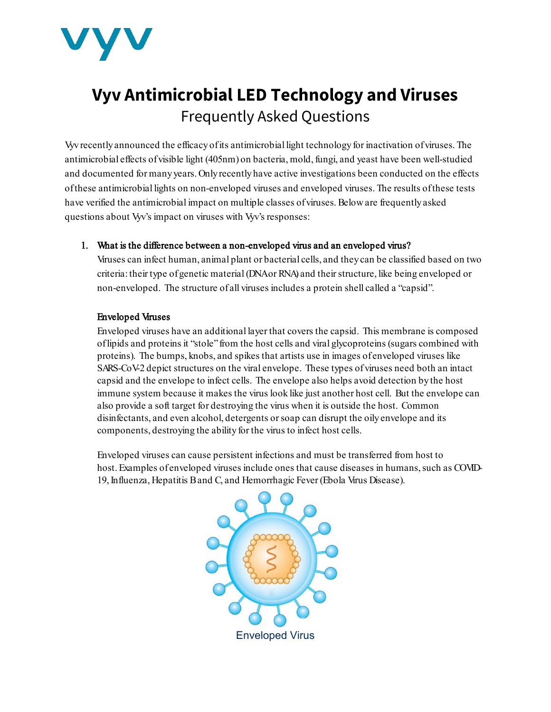

# **Vyv Antimicrobial LED Technology and Viruses** Frequently Asked Questions

Vyv recently announced the efficacy of its antimicrobial light technology for inactivation ofviruses. The antimicrobial effects of visible light (405nm) on bacteria, mold, fungi, and yeast have been well-studied and documented for many years. Only recently have active investigations been conducted on the effects of these antimicrobial lights on non-enveloped viruses and enveloped viruses. The results of these tests have verified the antimicrobial impact on multiple classes of viruses. Below are frequently asked questions about Vyv's impact on viruses with Vyv's responses:

# 1. What is the difference between a non-enveloped virus and an enveloped virus?

Viruses can infect human, animal plant or bacterial cells, and they can be classified based on two criteria: their type of genetic material (DNA or RNA) and their structure, like being enveloped or non-enveloped. The structure of all viruses includes a protein shell called a "capsid".

# Enveloped Viruses

Enveloped viruses have an additional layer that covers the capsid. This membrane is composed of lipids and proteins it "stole" from the host cells and viral glycoproteins (sugars combined with proteins). The bumps, knobs, and spikes that artists use in images of enveloped viruses like SARS-CoV-2 depict structures on the viral envelope. These types of viruses need both an intact capsid and the envelope to infect cells. The envelope also helps avoid detection by the host immune system because it makes the virus look like just another host cell. But the envelope can also provide a soft target for destroying the virus when it is outside the host. Common disinfectants, and even alcohol, detergents or soap can disrupt the oily envelope and its components, destroying the ability for the virus to infect host cells.

Enveloped viruses can cause persistent infections and must be transferred from host to host. Examples of enveloped viruses include ones that cause diseases in humans, such as COVID-19, Influenza, Hepatitis B and C, and Hemorrhagic Fever (Ebola Virus Disease).

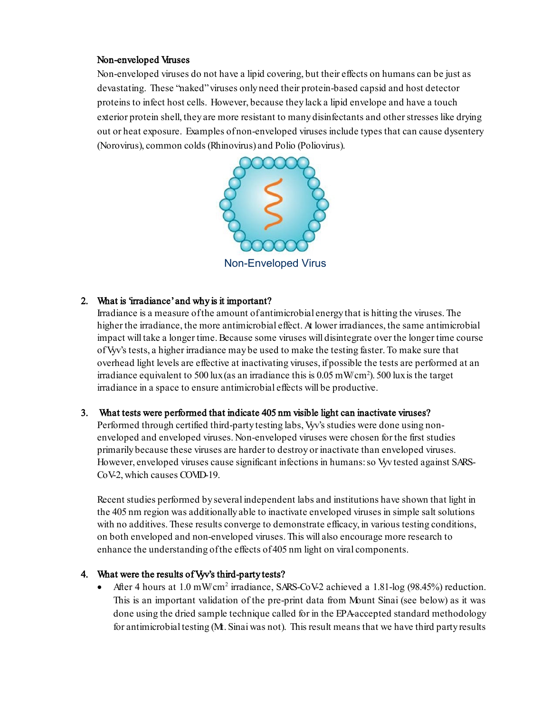#### Non-enveloped Viruses

Non-enveloped viruses do not have a lipid covering, but their effects on humans can be just as devastating. These "naked" viruses only need their protein-based capsid and host detector proteins to infect host cells. However, because they lack a lipid envelope and have a touch exterior protein shell, they are more resistant to many disinfectants and other stresses like drying out or heat exposure. Examples of non-enveloped viruses include types that can cause dysentery (Norovirus), common colds (Rhinovirus) and Polio (Poliovirus).



## 2. What is 'irradiance' and why is it important?

Irradiance is a measure of the amount of antimicrobial energy that is hitting the viruses. The higher the irradiance, the more antimicrobial effect. At lower irradiances, the same antimicrobial impact will take a longer time. Because some viruses will disintegrate over the longer time course of Vyv's tests, a higher irradiance may be used to make the testing faster. To make sure that overhead light levels are effective at inactivating viruses, if possible the tests are performed at an irradiance equivalent to 500 lux (as an irradiance this is  $0.05 \text{ mW/cm}^2$ ). 500 lux is the target irradiance in a space to ensure antimicrobial effects will be productive.

#### 3. What tests were performed that indicate 405 nm visible light can inactivate viruses?

Performed through certified third-party testing labs, Vyv's studies were done using nonenveloped and enveloped viruses. Non-enveloped viruses were chosen for the first studies primarily because these viruses are harder to destroy or inactivate than enveloped viruses. However, enveloped viruses cause significant infections in humans: so Vyv tested against SARS-CoV-2, which causes COVID-19.

Recent studies performed by several independent labs and institutions have shown that light in the 405 nm region was additionally able to inactivate enveloped viruses in simple salt solutions with no additives. These results converge to demonstrate efficacy, in various testing conditions, on both enveloped and non-enveloped viruses. This will also encourage more research to enhance the understanding of the effects of 405 nm light on viral components.

#### 4. What were the results of Vyv's third-party tests?

• After 4 hours at 1.0 mW/cm<sup>2</sup> irradiance, SARS-CoV-2 achieved a 1.81-log (98.45%) reduction. This is an important validation of the pre-print data from Mount Sinai (see below) as it was done using the dried sample technique called for in the EPA-accepted standard methodology for antimicrobial testing (M. Sinai was not). This result means that we have third party results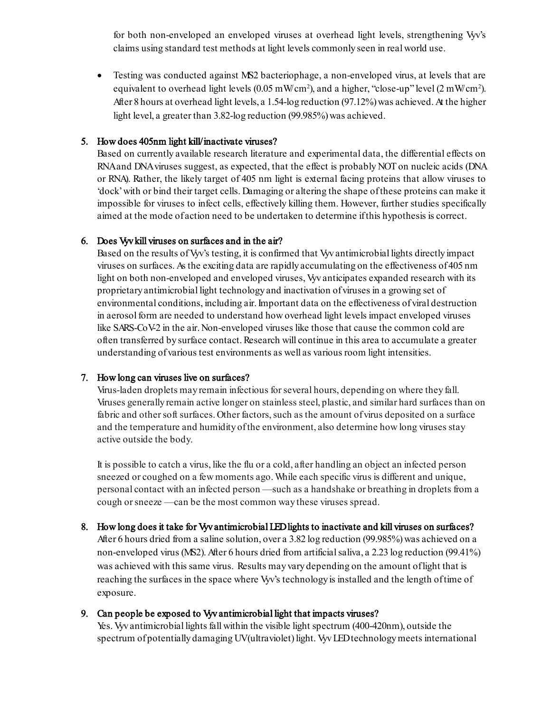for both non-enveloped an enveloped viruses at overhead light levels, strengthening Vyv's claims using standard test methods at light levels commonly seen in real world use.

• Testing was conducted against MS2 bacteriophage, a non-enveloped virus, at levels that are equivalent to overhead light levels (0.05 mW cm<sup>2</sup>), and a higher, "close-up" level (2 mW cm<sup>2</sup>). After 8 hours at overhead light levels, a 1.54-log reduction (97.12%) was achieved. At the higher light level, a greater than 3.82-log reduction (99.985%) was achieved.

#### 5. How does 405nm light kill/inactivate viruses?

Based on currently available research literature and experimental data, the differential effects on RNA and DNA viruses suggest, as expected, that the effect is probably NOT on nucleic acids (DNA or RNA). Rather, the likely target of 405 nm light is external facing proteins that allow viruses to 'dock' with or bind their target cells. Damaging or altering the shape of these proteins can make it impossible for viruses to infect cells, effectively killing them. However, further studies specifically aimed at the mode of action need to be undertaken to determine if this hypothesis is correct.

## 6. Does Vyv kill viruses on surfaces and in the air?

Based on the results of Vyv's testing, it is confirmed that Vyv antimicrobial lights directly impact viruses on surfaces. As the exciting data are rapidly accumulating on the effectiveness of 405 nm light on both non-enveloped and enveloped viruses, Vyv anticipates expanded research with its proprietary antimicrobial light technology and inactivation ofviruses in a growing set of environmental conditions, including air. Important data on the effectiveness of viral destruction in aerosol form are needed to understand how overhead light levels impact enveloped viruses like SARS-CoV-2 in the air. Non-enveloped viruses like those that cause the common cold are often transferred by surface contact. Research will continue in this area to accumulate a greater understanding of various test environments as well as various room light intensities.

#### 7. How long can viruses live on surfaces?

Virus-laden droplets may remain infectious for several hours, depending on where they fall. Viruses generally remain active longer on stainless steel, plastic, and similar hard surfaces than on fabric and other soft surfaces. Other factors, such as the amount of virus deposited on a surface and the temperature and humidity of the environment, also determine how long viruses stay active outside the body.

It is possible to catch a virus, like the flu or a cold, after handling an object an infected person sneezed or coughed on a few moments ago. While each specific virus is different and unique, personal contact with an infected person —such as a handshake or breathing in droplets from a cough or sneeze —can be the most common way these viruses spread.

#### 8. How long does it take for Vyv antimicrobial LED lights to inactivate and kill viruses on surfaces?

After 6 hours dried from a saline solution, over a 3.82 log reduction (99.985%) was achieved on a non-enveloped virus (MS2). After 6 hours dried from artificial saliva, a 2.23 log reduction (99.41%) was achieved with this same virus. Results may vary depending on the amount of light that is reaching the surfaces in the space where Vyv's technologyis installed and the length of time of exposure.

#### 9. Can people be exposed to Vyv antimicrobial light that impacts viruses?

Yes. Vyv antimicrobial lights fall within the visible light spectrum (400-420nm), outside the spectrum of potentially damaging UV (ultraviolet) light. Vyv LED technology meets international